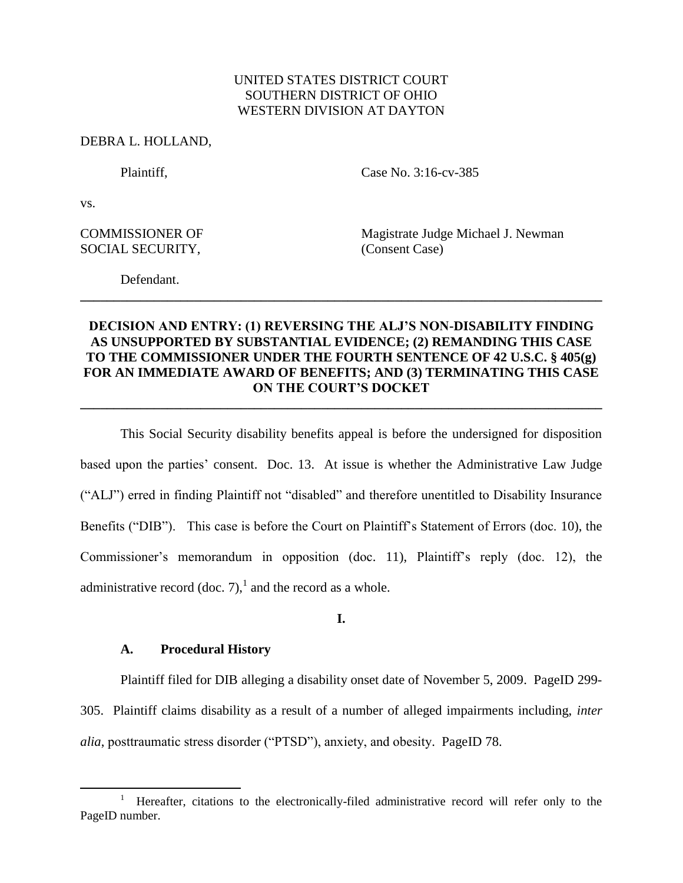## UNITED STATES DISTRICT COURT SOUTHERN DISTRICT OF OHIO WESTERN DIVISION AT DAYTON

### DEBRA L. HOLLAND,

Plaintiff, Case No. 3:16-cv-385

vs.

 $\overline{a}$ 

SOCIAL SECURITY, (Consent Case)

COMMISSIONER OF Magistrate Judge Michael J. Newman

Defendant.

# **DECISION AND ENTRY: (1) REVERSING THE ALJ'S NON-DISABILITY FINDING AS UNSUPPORTED BY SUBSTANTIAL EVIDENCE; (2) REMANDING THIS CASE TO THE COMMISSIONER UNDER THE FOURTH SENTENCE OF 42 U.S.C. § 405(g) FOR AN IMMEDIATE AWARD OF BENEFITS; AND (3) TERMINATING THIS CASE ON THE COURT'S DOCKET**

**\_\_\_\_\_\_\_\_\_\_\_\_\_\_\_\_\_\_\_\_\_\_\_\_\_\_\_\_\_\_\_\_\_\_\_\_\_\_\_\_\_\_\_\_\_\_\_\_\_\_\_\_\_\_\_\_\_\_\_\_\_\_\_\_\_\_\_\_\_\_\_\_\_\_\_\_\_\_**

**\_\_\_\_\_\_\_\_\_\_\_\_\_\_\_\_\_\_\_\_\_\_\_\_\_\_\_\_\_\_\_\_\_\_\_\_\_\_\_\_\_\_\_\_\_\_\_\_\_\_\_\_\_\_\_\_\_\_\_\_\_\_\_\_\_\_\_\_\_\_\_\_\_\_\_\_\_\_**

This Social Security disability benefits appeal is before the undersigned for disposition based upon the parties' consent. Doc. 13. At issue is whether the Administrative Law Judge ("ALJ") erred in finding Plaintiff not "disabled" and therefore unentitled to Disability Insurance Benefits ("DIB"). This case is before the Court on Plaintiff's Statement of Errors (doc. 10), the Commissioner's memorandum in opposition (doc. 11), Plaintiff's reply (doc. 12), the administrative record (doc. 7),<sup>1</sup> and the record as a whole.

## **I.**

## **A. Procedural History**

Plaintiff filed for DIB alleging a disability onset date of November 5, 2009. PageID 299- 305. Plaintiff claims disability as a result of a number of alleged impairments including, *inter alia*, posttraumatic stress disorder ("PTSD"), anxiety, and obesity. PageID 78.

<sup>1</sup> Hereafter, citations to the electronically-filed administrative record will refer only to the PageID number.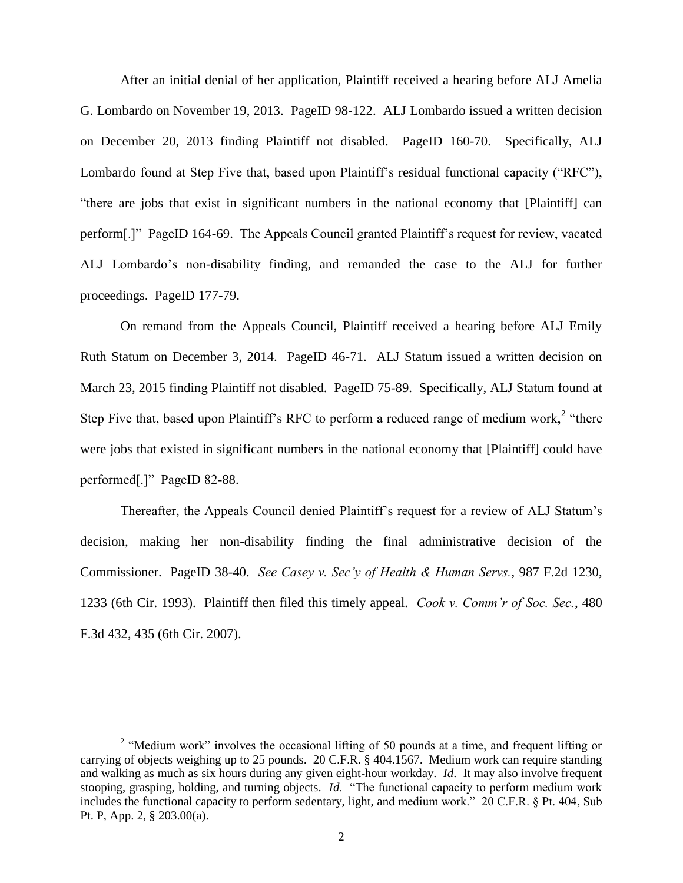After an initial denial of her application, Plaintiff received a hearing before ALJ Amelia G. Lombardo on November 19, 2013. PageID 98-122. ALJ Lombardo issued a written decision on December 20, 2013 finding Plaintiff not disabled. PageID 160-70. Specifically, ALJ Lombardo found at Step Five that, based upon Plaintiff's residual functional capacity ("RFC"), "there are jobs that exist in significant numbers in the national economy that [Plaintiff] can perform[.]" PageID 164-69. The Appeals Council granted Plaintiff's request for review, vacated ALJ Lombardo's non-disability finding, and remanded the case to the ALJ for further proceedings. PageID 177-79.

On remand from the Appeals Council, Plaintiff received a hearing before ALJ Emily Ruth Statum on December 3, 2014. PageID 46-71. ALJ Statum issued a written decision on March 23, 2015 finding Plaintiff not disabled. PageID 75-89. Specifically, ALJ Statum found at Step Five that, based upon Plaintiff's RFC to perform a reduced range of medium work,<sup>2</sup> "there were jobs that existed in significant numbers in the national economy that [Plaintiff] could have performed[.]" PageID 82-88.

Thereafter, the Appeals Council denied Plaintiff's request for a review of ALJ Statum's decision, making her non-disability finding the final administrative decision of the Commissioner. PageID 38-40. *See Casey v. Sec'y of Health & Human Servs.*, 987 F.2d 1230, 1233 (6th Cir. 1993). Plaintiff then filed this timely appeal. *Cook v. Comm'r of Soc. Sec.*, 480 F.3d 432, 435 (6th Cir. 2007).

<sup>&</sup>lt;sup>2</sup> "Medium work" involves the occasional lifting of 50 pounds at a time, and frequent lifting or carrying of objects weighing up to 25 pounds. 20 C.F.R. § 404.1567. Medium work can require standing and walking as much as six hours during any given eight-hour workday. *Id*. It may also involve frequent stooping, grasping, holding, and turning objects. *Id*. "The functional capacity to perform medium work includes the functional capacity to perform sedentary, light, and medium work." 20 C.F.R. § Pt. 404, Sub Pt. P, App. 2, § 203.00(a).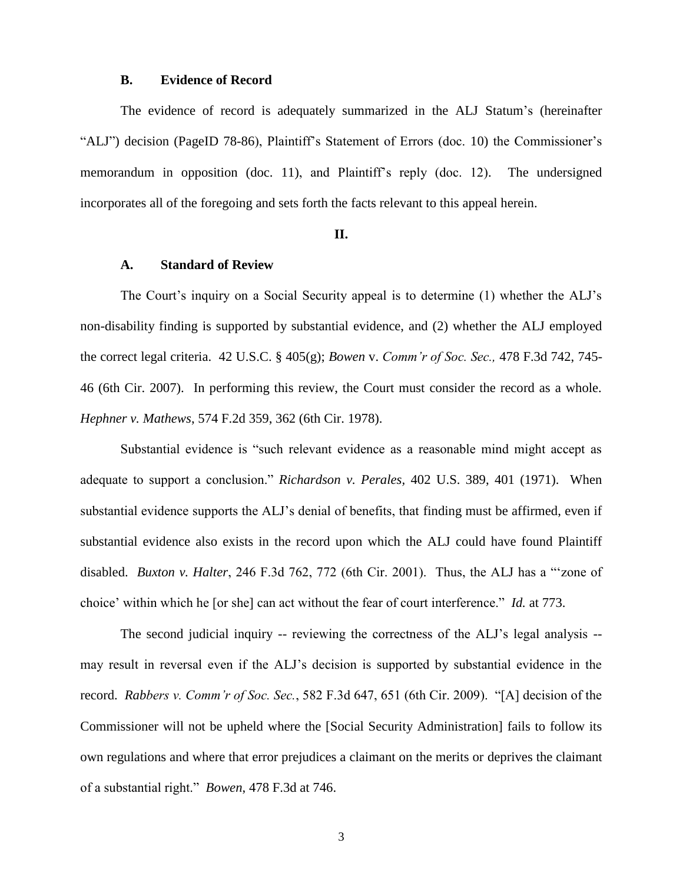### **B. Evidence of Record**

The evidence of record is adequately summarized in the ALJ Statum's (hereinafter "ALJ") decision (PageID 78-86), Plaintiff's Statement of Errors (doc. 10) the Commissioner's memorandum in opposition (doc. 11), and Plaintiff's reply (doc. 12). The undersigned incorporates all of the foregoing and sets forth the facts relevant to this appeal herein.

#### **II.**

## **A. Standard of Review**

The Court's inquiry on a Social Security appeal is to determine (1) whether the ALJ's non-disability finding is supported by substantial evidence, and (2) whether the ALJ employed the correct legal criteria. 42 U.S.C. § 405(g); *Bowen* v. *Comm'r of Soc. Sec.,* 478 F.3d 742, 745- 46 (6th Cir. 2007). In performing this review, the Court must consider the record as a whole. *Hephner v. Mathews*, 574 F.2d 359, 362 (6th Cir. 1978).

Substantial evidence is "such relevant evidence as a reasonable mind might accept as adequate to support a conclusion." *Richardson v. Perales,* 402 U.S. 389, 401 (1971). When substantial evidence supports the ALJ's denial of benefits, that finding must be affirmed, even if substantial evidence also exists in the record upon which the ALJ could have found Plaintiff disabled. *Buxton v. Halter*, 246 F.3d 762, 772 (6th Cir. 2001). Thus, the ALJ has a "'zone of choice' within which he [or she] can act without the fear of court interference." *Id.* at 773.

The second judicial inquiry -- reviewing the correctness of the ALJ's legal analysis - may result in reversal even if the ALJ's decision is supported by substantial evidence in the record. *Rabbers v. Comm'r of Soc. Sec.*, 582 F.3d 647, 651 (6th Cir. 2009). "[A] decision of the Commissioner will not be upheld where the [Social Security Administration] fails to follow its own regulations and where that error prejudices a claimant on the merits or deprives the claimant of a substantial right." *Bowen*, 478 F.3d at 746.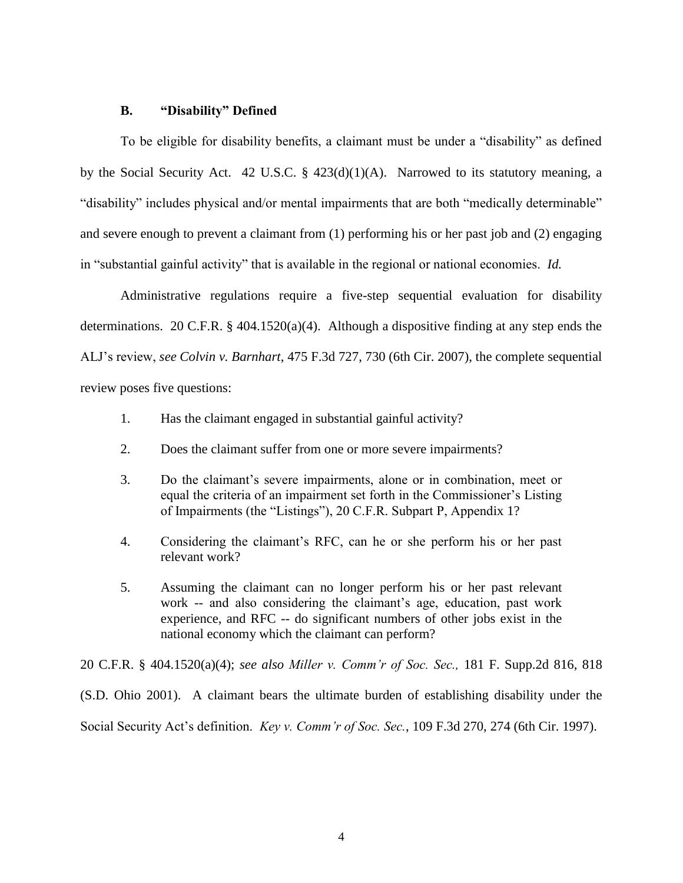### **B. "Disability" Defined**

To be eligible for disability benefits, a claimant must be under a "disability" as defined by the Social Security Act. 42 U.S.C. § 423(d)(1)(A). Narrowed to its statutory meaning, a "disability" includes physical and/or mental impairments that are both "medically determinable" and severe enough to prevent a claimant from (1) performing his or her past job and (2) engaging in "substantial gainful activity" that is available in the regional or national economies. *Id.*

Administrative regulations require a five-step sequential evaluation for disability determinations. 20 C.F.R.  $\S$  404.1520(a)(4). Although a dispositive finding at any step ends the ALJ's review, *see Colvin v. Barnhart*, 475 F.3d 727, 730 (6th Cir. 2007), the complete sequential review poses five questions:

1. Has the claimant engaged in substantial gainful activity?

- 2. Does the claimant suffer from one or more severe impairments?
- 3. Do the claimant's severe impairments, alone or in combination, meet or equal the criteria of an impairment set forth in the Commissioner's Listing of Impairments (the "Listings"), 20 C.F.R. Subpart P, Appendix 1?
- 4. Considering the claimant's RFC, can he or she perform his or her past relevant work?
- 5. Assuming the claimant can no longer perform his or her past relevant work -- and also considering the claimant's age, education, past work experience, and RFC -- do significant numbers of other jobs exist in the national economy which the claimant can perform?

20 C.F.R. § 404.1520(a)(4); *see also Miller v. Comm'r of Soc. Sec.,* 181 F. Supp.2d 816, 818 (S.D. Ohio 2001). A claimant bears the ultimate burden of establishing disability under the Social Security Act's definition. *Key v. Comm'r of Soc. Sec.*, 109 F.3d 270, 274 (6th Cir. 1997).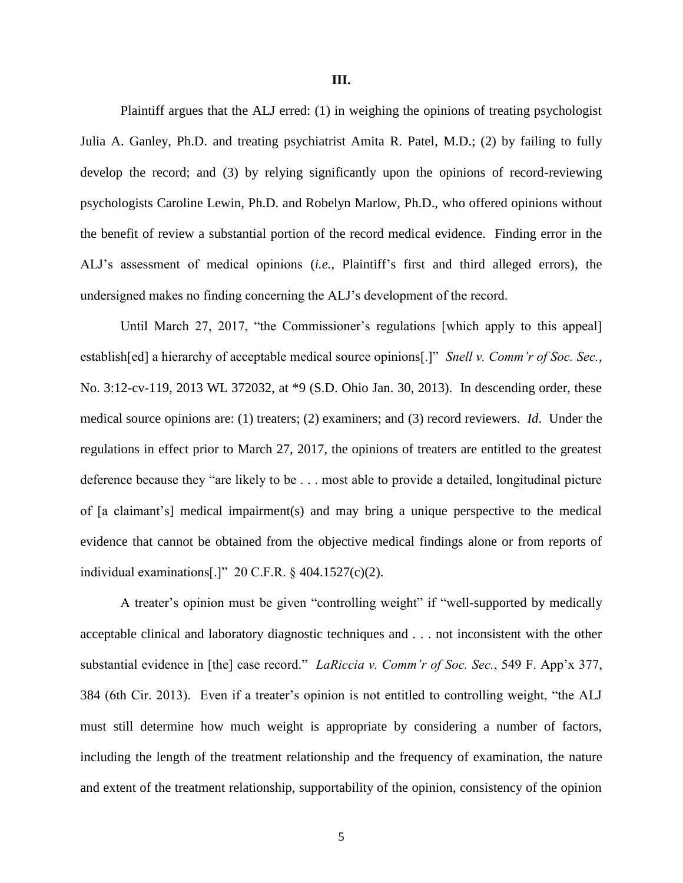Plaintiff argues that the ALJ erred: (1) in weighing the opinions of treating psychologist Julia A. Ganley, Ph.D. and treating psychiatrist Amita R. Patel, M.D.; (2) by failing to fully develop the record; and (3) by relying significantly upon the opinions of record-reviewing psychologists Caroline Lewin, Ph.D. and Robelyn Marlow, Ph.D., who offered opinions without the benefit of review a substantial portion of the record medical evidence. Finding error in the ALJ's assessment of medical opinions (*i.e.*, Plaintiff's first and third alleged errors), the undersigned makes no finding concerning the ALJ's development of the record.

Until March 27, 2017, "the Commissioner's regulations [which apply to this appeal] establish[ed] a hierarchy of acceptable medical source opinions[.]" *Snell v. Comm'r of Soc. Sec.*, No. 3:12-cv-119, 2013 WL 372032, at \*9 (S.D. Ohio Jan. 30, 2013). In descending order, these medical source opinions are: (1) treaters; (2) examiners; and (3) record reviewers. *Id*. Under the regulations in effect prior to March 27, 2017, the opinions of treaters are entitled to the greatest deference because they "are likely to be . . . most able to provide a detailed, longitudinal picture of [a claimant's] medical impairment(s) and may bring a unique perspective to the medical evidence that cannot be obtained from the objective medical findings alone or from reports of individual examinations[.]" 20 C.F.R. § 404.1527(c)(2).

A treater's opinion must be given "controlling weight" if "well-supported by medically acceptable clinical and laboratory diagnostic techniques and . . . not inconsistent with the other substantial evidence in [the] case record." *LaRiccia v. Comm'r of Soc. Sec.*, 549 F. App'x 377, 384 (6th Cir. 2013). Even if a treater's opinion is not entitled to controlling weight, "the ALJ must still determine how much weight is appropriate by considering a number of factors, including the length of the treatment relationship and the frequency of examination, the nature and extent of the treatment relationship, supportability of the opinion, consistency of the opinion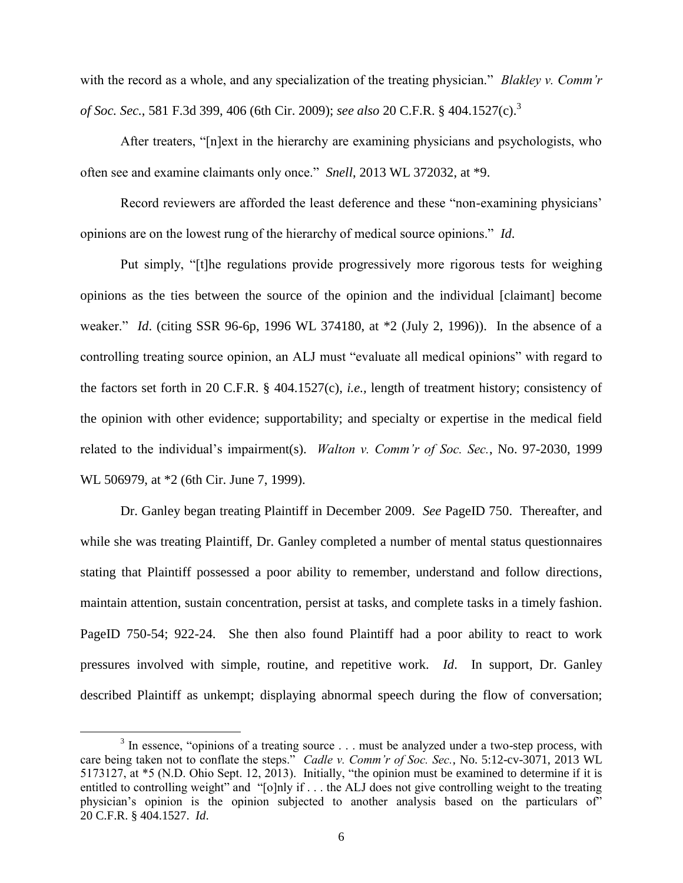with the record as a whole, and any specialization of the treating physician." *Blakley v. Comm'r of Soc. Sec.*, 581 F.3d 399, 406 (6th Cir. 2009); *see also* 20 C.F.R. § 404.1527(c).<sup>3</sup>

After treaters, "[n]ext in the hierarchy are examining physicians and psychologists, who often see and examine claimants only once." *Snell*, 2013 WL 372032, at \*9.

Record reviewers are afforded the least deference and these "non-examining physicians' opinions are on the lowest rung of the hierarchy of medical source opinions." *Id*.

Put simply, "[t]he regulations provide progressively more rigorous tests for weighing opinions as the ties between the source of the opinion and the individual [claimant] become weaker." *Id*. (citing SSR 96-6p, 1996 WL 374180, at \*2 (July 2, 1996)). In the absence of a controlling treating source opinion, an ALJ must "evaluate all medical opinions" with regard to the factors set forth in 20 C.F.R. § 404.1527(c), *i.e.,* length of treatment history; consistency of the opinion with other evidence; supportability; and specialty or expertise in the medical field related to the individual's impairment(s). *Walton v. Comm'r of Soc. Sec.*, No. 97-2030, 1999 WL 506979, at \*2 (6th Cir. June 7, 1999).

Dr. Ganley began treating Plaintiff in December 2009. *See* PageID 750. Thereafter, and while she was treating Plaintiff, Dr. Ganley completed a number of mental status questionnaires stating that Plaintiff possessed a poor ability to remember, understand and follow directions, maintain attention, sustain concentration, persist at tasks, and complete tasks in a timely fashion. PageID 750-54; 922-24. She then also found Plaintiff had a poor ability to react to work pressures involved with simple, routine, and repetitive work. *Id*. In support, Dr. Ganley described Plaintiff as unkempt; displaying abnormal speech during the flow of conversation;

 $3$  In essence, "opinions of a treating source ... must be analyzed under a two-step process, with care being taken not to conflate the steps." *Cadle v. Comm'r of Soc. Sec.*, No. 5:12-cv-3071, 2013 WL 5173127, at \*5 (N.D. Ohio Sept. 12, 2013). Initially, "the opinion must be examined to determine if it is entitled to controlling weight" and "[o]nly if . . . the ALJ does not give controlling weight to the treating physician's opinion is the opinion subjected to another analysis based on the particulars of" 20 C.F.R. § 404.1527. *Id*.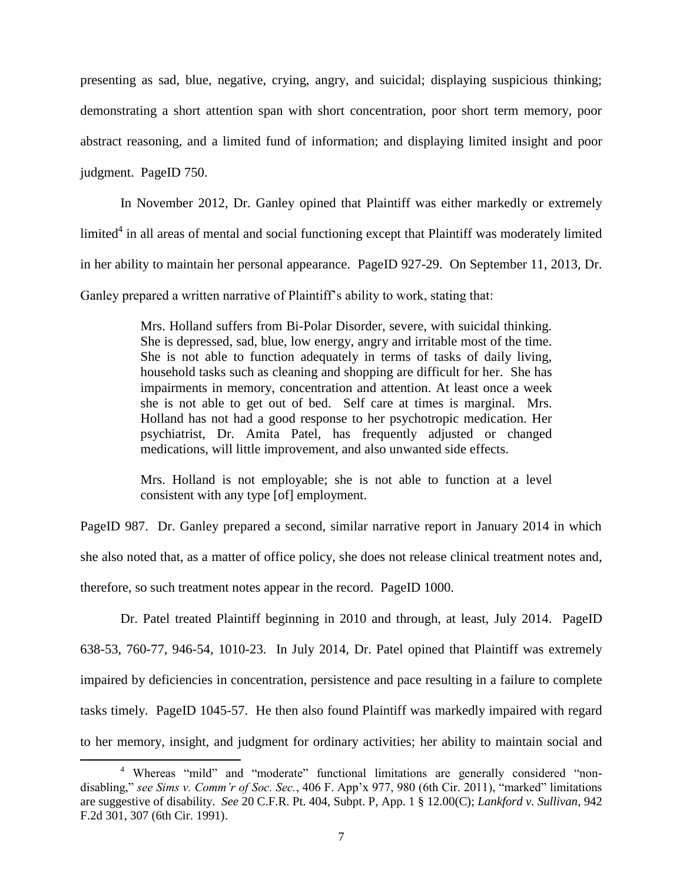presenting as sad, blue, negative, crying, angry, and suicidal; displaying suspicious thinking; demonstrating a short attention span with short concentration, poor short term memory, poor abstract reasoning, and a limited fund of information; and displaying limited insight and poor judgment. PageID 750.

In November 2012, Dr. Ganley opined that Plaintiff was either markedly or extremely limited<sup>4</sup> in all areas of mental and social functioning except that Plaintiff was moderately limited in her ability to maintain her personal appearance. PageID 927-29. On September 11, 2013, Dr. Ganley prepared a written narrative of Plaintiff's ability to work, stating that:

> Mrs. Holland suffers from Bi-Polar Disorder, severe, with suicidal thinking. She is depressed, sad, blue, low energy, angry and irritable most of the time. She is not able to function adequately in terms of tasks of daily living, household tasks such as cleaning and shopping are difficult for her. She has impairments in memory, concentration and attention. At least once a week she is not able to get out of bed. Self care at times is marginal. Mrs. Holland has not had a good response to her psychotropic medication. Her psychiatrist, Dr. Amita Patel, has frequently adjusted or changed medications, will little improvement, and also unwanted side effects.

> Mrs. Holland is not employable; she is not able to function at a level consistent with any type [of] employment.

PageID 987. Dr. Ganley prepared a second, similar narrative report in January 2014 in which she also noted that, as a matter of office policy, she does not release clinical treatment notes and, therefore, so such treatment notes appear in the record. PageID 1000.

Dr. Patel treated Plaintiff beginning in 2010 and through, at least, July 2014. PageID 638-53, 760-77, 946-54, 1010-23. In July 2014, Dr. Patel opined that Plaintiff was extremely impaired by deficiencies in concentration, persistence and pace resulting in a failure to complete tasks timely. PageID 1045-57. He then also found Plaintiff was markedly impaired with regard to her memory, insight, and judgment for ordinary activities; her ability to maintain social and

<sup>4</sup> Whereas "mild" and "moderate" functional limitations are generally considered "nondisabling," *see Sims v. Comm'r of Soc. Sec.*, 406 F. App'x 977, 980 (6th Cir. 2011), "marked" limitations are suggestive of disability. *See* 20 C.F.R. Pt. 404, Subpt. P, App. 1 § 12.00(C); *Lankford v. Sullivan*, 942 F.2d 301, 307 (6th Cir. 1991).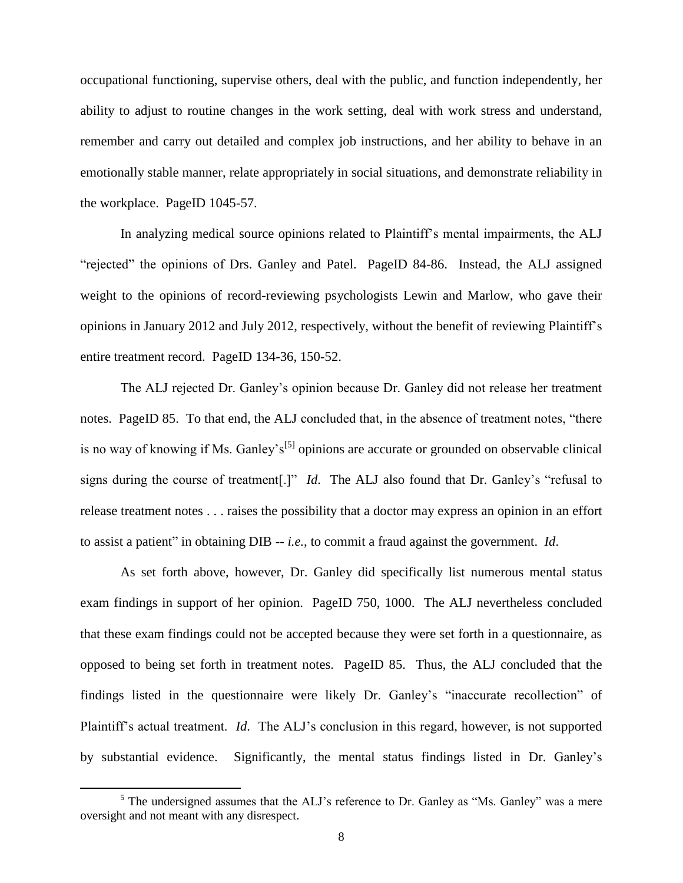occupational functioning, supervise others, deal with the public, and function independently, her ability to adjust to routine changes in the work setting, deal with work stress and understand, remember and carry out detailed and complex job instructions, and her ability to behave in an emotionally stable manner, relate appropriately in social situations, and demonstrate reliability in the workplace. PageID 1045-57.

In analyzing medical source opinions related to Plaintiff's mental impairments, the ALJ "rejected" the opinions of Drs. Ganley and Patel. PageID 84-86. Instead, the ALJ assigned weight to the opinions of record-reviewing psychologists Lewin and Marlow, who gave their opinions in January 2012 and July 2012, respectively, without the benefit of reviewing Plaintiff's entire treatment record. PageID 134-36, 150-52.

The ALJ rejected Dr. Ganley's opinion because Dr. Ganley did not release her treatment notes. PageID 85. To that end, the ALJ concluded that, in the absence of treatment notes, "there is no way of knowing if Ms. Ganley's<sup>[5]</sup> opinions are accurate or grounded on observable clinical signs during the course of treatment[.]" *Id*. The ALJ also found that Dr. Ganley's "refusal to release treatment notes . . . raises the possibility that a doctor may express an opinion in an effort to assist a patient" in obtaining DIB -- *i.e.*, to commit a fraud against the government. *Id*.

As set forth above, however, Dr. Ganley did specifically list numerous mental status exam findings in support of her opinion. PageID 750, 1000. The ALJ nevertheless concluded that these exam findings could not be accepted because they were set forth in a questionnaire, as opposed to being set forth in treatment notes. PageID 85. Thus, the ALJ concluded that the findings listed in the questionnaire were likely Dr. Ganley's "inaccurate recollection" of Plaintiff's actual treatment. *Id*. The ALJ's conclusion in this regard, however, is not supported by substantial evidence. Significantly, the mental status findings listed in Dr. Ganley's

<sup>&</sup>lt;sup>5</sup> The undersigned assumes that the ALJ's reference to Dr. Ganley as "Ms. Ganley" was a mere oversight and not meant with any disrespect.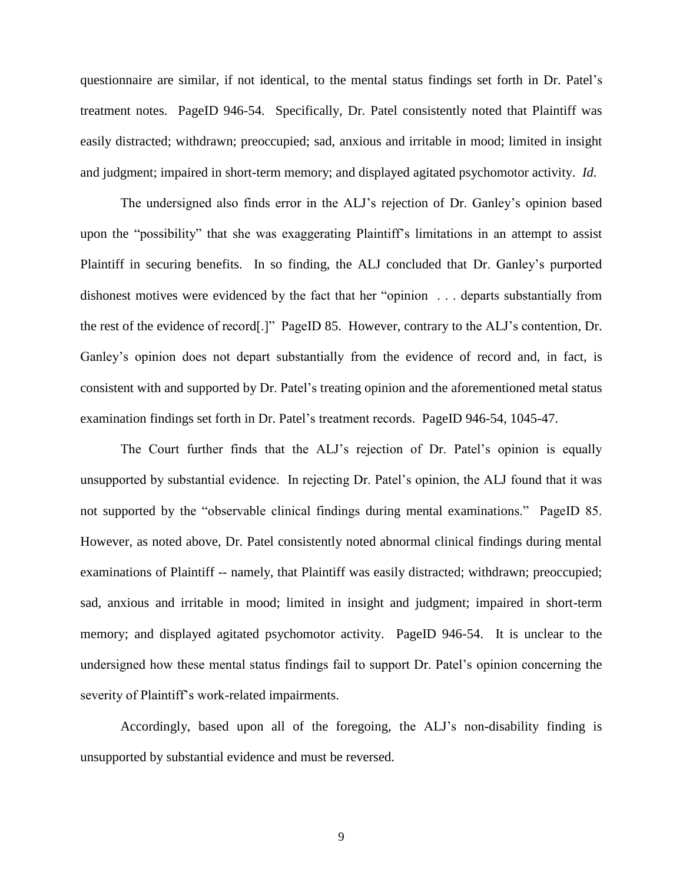questionnaire are similar, if not identical, to the mental status findings set forth in Dr. Patel's treatment notes. PageID 946-54. Specifically, Dr. Patel consistently noted that Plaintiff was easily distracted; withdrawn; preoccupied; sad, anxious and irritable in mood; limited in insight and judgment; impaired in short-term memory; and displayed agitated psychomotor activity. *Id*.

The undersigned also finds error in the ALJ's rejection of Dr. Ganley's opinion based upon the "possibility" that she was exaggerating Plaintiff's limitations in an attempt to assist Plaintiff in securing benefits. In so finding, the ALJ concluded that Dr. Ganley's purported dishonest motives were evidenced by the fact that her "opinion . . . departs substantially from the rest of the evidence of record[.]" PageID 85. However, contrary to the ALJ's contention, Dr. Ganley's opinion does not depart substantially from the evidence of record and, in fact, is consistent with and supported by Dr. Patel's treating opinion and the aforementioned metal status examination findings set forth in Dr. Patel's treatment records. PageID 946-54, 1045-47.

The Court further finds that the ALJ's rejection of Dr. Patel's opinion is equally unsupported by substantial evidence. In rejecting Dr. Patel's opinion, the ALJ found that it was not supported by the "observable clinical findings during mental examinations." PageID 85. However, as noted above, Dr. Patel consistently noted abnormal clinical findings during mental examinations of Plaintiff -- namely, that Plaintiff was easily distracted; withdrawn; preoccupied; sad, anxious and irritable in mood; limited in insight and judgment; impaired in short-term memory; and displayed agitated psychomotor activity. PageID 946-54. It is unclear to the undersigned how these mental status findings fail to support Dr. Patel's opinion concerning the severity of Plaintiff's work-related impairments.

Accordingly, based upon all of the foregoing, the ALJ's non-disability finding is unsupported by substantial evidence and must be reversed.

9